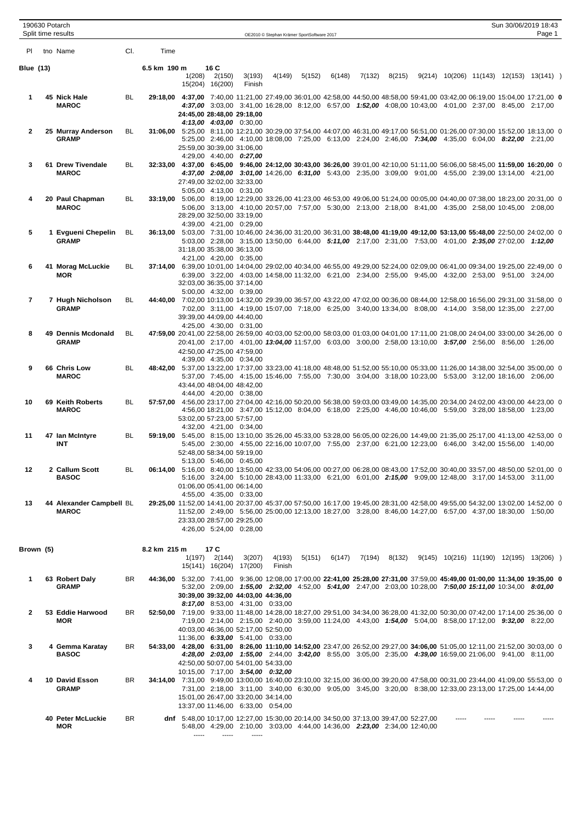|                  | 190630 Potarch<br>Split time results     |           |              |                                                                                              |                           |                                                       | OE2010 © Stephan Krämer SportSoftware 2017                                |        |        |        |        |  |  | Sun 30/06/2019 18:43<br>Page 1                                                                                                                                                                                                                   |  |
|------------------|------------------------------------------|-----------|--------------|----------------------------------------------------------------------------------------------|---------------------------|-------------------------------------------------------|---------------------------------------------------------------------------|--------|--------|--------|--------|--|--|--------------------------------------------------------------------------------------------------------------------------------------------------------------------------------------------------------------------------------------------------|--|
| PI               | tno Name                                 | CI.       | Time         |                                                                                              |                           |                                                       |                                                                           |        |        |        |        |  |  |                                                                                                                                                                                                                                                  |  |
| <b>Blue (13)</b> |                                          |           | 6.5 km 190 m | 1(208)                                                                                       | 16 C<br>2(150)            | 3(193)                                                | 4(149)                                                                    | 5(152) | 6(148) | 7(132) | 8(215) |  |  | 9(214) 10(206) 11(143) 12(153) 13(141) )                                                                                                                                                                                                         |  |
|                  |                                          |           |              |                                                                                              | 15(204) 16(200)           | Finish                                                |                                                                           |        |        |        |        |  |  |                                                                                                                                                                                                                                                  |  |
| 1                | 45 Nick Hale<br><b>MAROC</b>             | BL.       |              | 24:45,00 28:48,00 29:18,00                                                                   |                           | 4:13,00 4:03,00 0:30,00                               |                                                                           |        |        |        |        |  |  | 29:18,00 4:37,00 7:40,00 11:21,00 27:49,00 36:01,00 42:58,00 44:50,00 48:58,00 59:41,00 03:42,00 06:19,00 15:04,00 17:21,00 0<br>4:37,00 3:03,00 3:41,00 16:28,00 8:12,00 6:57,00 1:52,00 4:08,00 10:43,00 4:01,00 2:37,00 8:45,00 2:17,00       |  |
| 2                | 25 Murray Anderson<br><b>GRAMP</b>       | BL        |              |                                                                                              |                           | 25:59.00 30:39.00 31:06.00<br>4:29,00 4:40,00 0:27,00 |                                                                           |        |        |        |        |  |  | 31:06,00 5:25,00 8:11,00 12:21,00 30:29,00 37:54,00 44:07,00 46:31,00 49:17,00 56:51,00 01:26,00 07:30,00 15:52,00 18:13,00 0<br>5:25,00 2:46,00 4:10,00 18:08,00 7:25,00 6:13,00 2:24,00 2:46,00 7:34,00 4:35,00 6:04,00 8:22,00 2:21,00        |  |
| 3                | 61 Drew Tivendale<br><b>MAROC</b>        | BL        |              | 27:49,00 32:02,00 32:33,00                                                                   |                           |                                                       |                                                                           |        |        |        |        |  |  | 32:33,00 4:37,00 6:45,00 9:46,00 24:12,00 30:43,00 36:26,00 39:01,00 42:10,00 51:11,00 56:06,00 58:45,00 11:59,00 16:20,00 0<br>4:37,00 2:08,00 3:01,00 14:26,00 6:31,00 5:43,00 2:35,00 3:09,00 9:01,00 4:55,00 2:39,00 13:14,00 4:21,00        |  |
| 4                | 20 Paul Chapman<br><b>MAROC</b>          | BL        |              | 28:29,00 32:50,00 33:19,00                                                                   |                           | 5:05,00 4:13,00 0:31,00                               |                                                                           |        |        |        |        |  |  | 33:19,00 5:06,00 8:19,00 12:29,00 33:26,00 41:23,00 46:53,00 49:06,00 51:24,00 00:05,00 04:40,00 07:38,00 18:23,00 20:31,00 0<br>5:06,00 3:13,00 4:10,00 20:57,00 7:57,00 5:30,00 2:13,00 2:18,00 8:41,00 4:35,00 2:58,00 10:45,00 2:08,00       |  |
| 5                | 1 Evgueni Chepelin<br><b>GRAMP</b>       | BL        |              | 31:18,00 35:38,00 36:13,00                                                                   |                           | 4:39,00 4:21,00 0:29,00<br>4:21,00 4:20,00 0:35,00    |                                                                           |        |        |        |        |  |  | 36:13,00 5:03,00 7:31,00 10:46,00 24:36,00 31:20,00 36:31,00 38:48,00 41:19,00 49:12,00 53:13,00 55:48,00 22:50,00 24:02,00 0<br>5:03,00 2:28,00 3:15,00 13:50,00 6:44,00 5:11,00 2:17,00 2:31,00 7:53,00 4:01,00 2:35,00 27:02,00 1:12,00       |  |
| 6                | 41 Morag McLuckie<br><b>MOR</b>          | BL        |              |                                                                                              |                           | 32:03,00 36:35,00 37:14,00<br>5:00,00 4:32,00 0:39,00 |                                                                           |        |        |        |        |  |  | 37:14,00 6:39,00 10:01,00 14:04,00 29:02,00 40:34,00 46:55,00 49:29,00 52:24,00 02:09,00 06:41,00 09:34,00 19:25,00 22:49,00 0<br>6:39,00 3:22,00 4:03,00 14:58,00 11:32,00 6:21,00 2:34,00 2:55,00 9:45,00 4:32,00 2:53,00 9:51,00 3:24,00      |  |
| 7                | 7 Hugh Nicholson<br><b>GRAMP</b>         | BL.       |              |                                                                                              |                           | 39:39,00 44:09,00 44:40,00<br>4:25,00 4:30,00 0:31,00 |                                                                           |        |        |        |        |  |  | 44:40,00 7:02,00 10:13,00 14:32,00 29:39,00 36:57,00 43:22,00 47:02,00 00:36,00 08:44,00 12:58,00 16:56,00 29:31,00 31:58,00 0<br>7:02.00 3:11.00 4:19.00 15:07.00 7:18.00 6:25.00 3:40.00 13:34.00 8:08.00 4:14.00 3:58.00 12:35.00 2:27.00     |  |
| 8                | 49 Dennis Mcdonald<br><b>GRAMP</b>       | <b>BL</b> |              |                                                                                              |                           | 42:50,00 47:25,00 47:59,00<br>4:39,00 4:35,00 0:34,00 |                                                                           |        |        |        |        |  |  | 47:59,00 20:41,00 22:58,00 26:59,00 40:03,00 52:00,00 58:03,00 01:03,00 04:01,00 17:11,00 21:08,00 24:04,00 33:00,00 34:26,00 0<br>20:41,00 2:17,00 4:01,00 13:04,00 11:57,00 6:03,00 3:00,00 2:58,00 13:10,00 3:57,00 2:56,00 8:56,00 1:26,00   |  |
| 9                | 66 Chris Low<br><b>MAROC</b>             | BL        |              |                                                                                              |                           | 43:44,00 48:04,00 48:42,00<br>4:44,00 4:20,00 0:38,00 |                                                                           |        |        |        |        |  |  | 48:42,00 5:37,00 13:22,00 17:37,00 33:23,00 41:18,00 48:48,00 51:52,00 55:10,00 05:33,00 11:26,00 14:38,00 32:54,00 35:00,00 0<br>5:37,00 7:45,00 4:15,00 15:46,00 7:55,00 7:30,00 3:04,00 3:18,00 10:23,00 5:53,00 3:12,00 18:16,00 2:06,00     |  |
| 10               | 69 Keith Roberts<br><b>MAROC</b>         | BL        |              |                                                                                              |                           | 53:02,00 57:23,00 57:57,00<br>4:32,00 4:21,00 0:34,00 |                                                                           |        |        |        |        |  |  | 57:57,00 4:56,00 23:17,00 27:04,00 42:16,00 50:20,00 56:38,00 59:03,00 03:49,00 14:35,00 20:34,00 24:02,00 43:00,00 44:23,00 0<br>4:56,00 18:21,00 3:47,00 15:12,00 8:04,00 6:18,00 2:25,00 4:46,00 10:46,00 5:59,00 3:28,00 18:58,00 1:23,00    |  |
| 11               | 47 Ian McIntyre<br>INT                   | BL        |              |                                                                                              |                           | 52:48,00 58:34,00 59:19,00<br>5:13,00 5:46,00 0:45,00 |                                                                           |        |        |        |        |  |  | 59:19,00 5:45,00 8:15,00 13:10,00 35:26,00 45:33,00 53:28,00 56:05,00 02:26,00 14:49,00 21:35,00 25:17,00 41:13,00 42:53,00 0<br>5:45,00 2:30,00 4:55,00 22:16,00 10:07,00 7:55,00 2:37,00 6:21,00 12:23,00 6:46,00 3:42,00 15:56,00 1:40,00     |  |
| 12               | 2 Callum Scott<br><b>BASOC</b>           | BL        |              | 01:06.00 05:41.00 06:14.00                                                                   |                           | 4:55,00 4:35,00 0:33,00                               |                                                                           |        |        |        |        |  |  | 06:14,00 5:16,00 8:40,00 13:50,00 42:33,00 54:06,00 00:27,00 06:28,00 08:43,00 17:52,00 30:40,00 33:57,00 48:50,00 52:01,00 0<br>5:16,00 3:24,00 5:10,00 28:43,00 11:33,00 6:21,00 6:01,00 2:15,00 9:09,00 12:48,00 3:17,00 14:53,00 3:11,00     |  |
| 13               | 44 Alexander Campbell BL<br><b>MAROC</b> |           |              | 23:33,00 28:57,00 29:25,00                                                                   |                           | 4:26,00 5:24,00 0:28,00                               |                                                                           |        |        |        |        |  |  | 29:25,00 11:52,00 14:41,00 20:37,00 45:37,00 57:50,00 16:17,00 19:45,00 28:31,00 42:58,00 49:55,00 54:32,00 13:02,00 14:52,00 0<br>11:52,00 2:49,00 5:56,00 25:00,00 12:13,00 18:27,00 3:28,00 8:46,00 14:27,00 6:57,00 4:37,00 18:30,00 1:50,00 |  |
| Brown (5)        |                                          |           | 8.2 km 215 m |                                                                                              | 17 C<br>$1(197)$ $2(144)$ | 3(207)                                                | 4(193)                                                                    | 5(151) |        |        |        |  |  | $6(147)$ $7(194)$ $8(132)$ $9(145)$ $10(216)$ $11(190)$ $12(195)$ $13(206)$ )                                                                                                                                                                    |  |
|                  |                                          |           |              |                                                                                              |                           | 15(141) 16(204) 17(200)                               | Finish                                                                    |        |        |        |        |  |  |                                                                                                                                                                                                                                                  |  |
| 1                | 63 Robert Daly<br>GRAMP                  | BR        |              |                                                                                              |                           |                                                       | 30:39,00 39:32,00 44:03,00 44:36,00<br>8:17,00 8:53,00 4:31,00 0:33,00    |        |        |        |        |  |  | 44:36,00 5:32,00 7:41,00 9:36,00 12:08,00 17:00,00 22:41,00 25:28,00 27:31,00 37:59,00 45:49,00 01:00,00 11:34,00 19:35,00 0<br>5:32,00 2:09,00 1:55,00 2:32,00 4:52,00 5:41,00 2:47,00 2:03,00 10:28,00 7:50,00 15:11,00 10:34,00 8:01,00       |  |
| 2                | 53 Eddie Harwood<br>MOR                  | BR.       |              |                                                                                              |                           |                                                       | 40:03,00 46:36,00 52:17,00 52:50,00<br>11:36,00 6:33,00 5:41,00 0:33,00   |        |        |        |        |  |  | 52:50,00 7:19,00 9:33,00 11:48,00 14:28,00 18:27,00 29:51,00 34:34,00 36:28,00 41:32,00 50:30,00 07:42,00 17:14,00 25:36,00 0<br>7:19,00 2:14,00 2:15,00 2:40,00 3:59,00 11:24,00 4:43,00 1:54,00 5:04,00 8:58,00 17:12,00 9:32,00 8:22,00       |  |
| 3                | 4 Gemma Karatay<br><b>BASOC</b>          | BR        |              |                                                                                              |                           |                                                       | 42:50,00 50:07,00 54:01,00 54:33,00<br>10:15,00 7:17,00 3:54,00 0:32,00   |        |        |        |        |  |  | 54:33,00 4:28,00 6:31,00 8:26,00 11:10,00 14:52,00 23:47,00 26:52,00 29:27,00 34:06,00 51:05,00 12:11,00 21:52,00 30:03,00 0<br>4:28,00 2:03,00 1:55,00 2:44,00 3:42,00 8:55,00 3:05,00 2:35,00 4:39,00 16:59,00 21:06,00 9:41,00 8:11,00        |  |
| 4                | 10 David Esson<br><b>GRAMP</b>           | BR        |              |                                                                                              |                           |                                                       | 15:01,00 26:47,00 33:20,00 34:14,00<br>13:37,00 11:46,00 6:33,00 0:54,00  |        |        |        |        |  |  | 34:14,00 7:31,00 9:49,00 13:00,00 16:40,00 23:10,00 32:15,00 36:00,00 39:20,00 47:58,00 00:31,00 23:44,00 41:09,00 55:53,00 0<br>7:31,00 2:18,00 3:11,00 3:40,00 6:30,00 9:05,00 3:45,00 3:20,00 8:38,00 12:33,00 23:13,00 17:25,00 14:44,00     |  |
|                  | 40 Peter McLuckie<br>MOR                 | BR        |              | dnf 5:48,00 10:17,00 12:27,00 15:30,00 20:14,00 34:50,00 37:13,00 39:47,00 52:27,00<br>----- | -----                     | 1.1.1.1                                               | 5:48,00 4:29,00 2:10,00 3:03,00 4:44,00 14:36,00 2:23,00 2:34,00 12:40,00 |        |        |        |        |  |  |                                                                                                                                                                                                                                                  |  |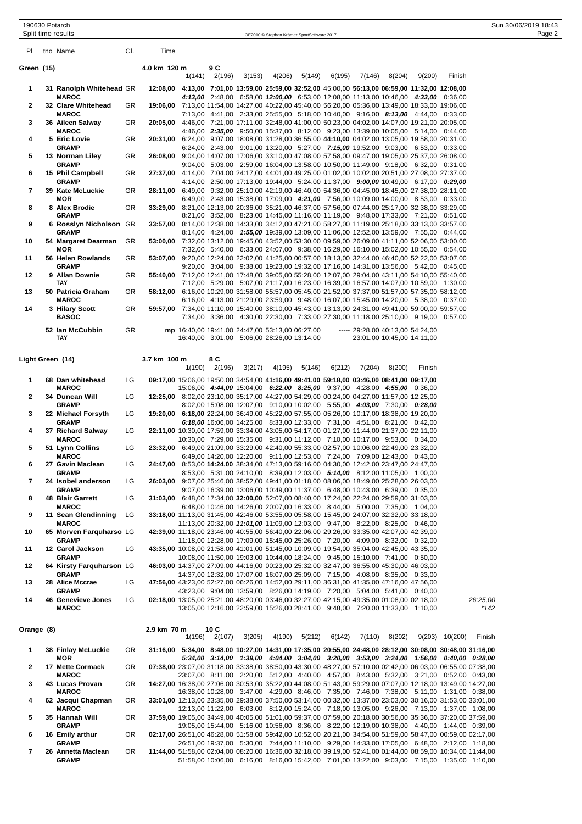| 190630 Potarch     |                                            | 18:43<br>Sun 30/06/2019 ' |
|--------------------|--------------------------------------------|---------------------------|
| Split time results | OE2010 © Stephan Krämer SportSoftware 2017 | Page 2                    |
|                    | the contract of the contract of            |                           |

| PI         | tno Name                                 | CI. | Time         |        |               |                                                                                                                                                                           |        |        |        |                                |        |                                                                                                                                                                                                             |                    |          |
|------------|------------------------------------------|-----|--------------|--------|---------------|---------------------------------------------------------------------------------------------------------------------------------------------------------------------------|--------|--------|--------|--------------------------------|--------|-------------------------------------------------------------------------------------------------------------------------------------------------------------------------------------------------------------|--------------------|----------|
| Green (15) |                                          |     | 4.0 km 120 m |        | 9 C           |                                                                                                                                                                           |        |        |        |                                |        |                                                                                                                                                                                                             |                    |          |
|            |                                          |     |              | 1(141) | 2(196)        | 3(153)                                                                                                                                                                    | 4(206) | 5(149) | 6(195) | 7(146)                         | 8(204) | 9(200)                                                                                                                                                                                                      | Finish             |          |
| 1          | 31 Ranolph Whitehead GR<br><b>MAROC</b>  |     | 12:08,00     |        |               |                                                                                                                                                                           |        |        |        |                                |        | 4:13,00 7:01,00 13:59,00 25:59,00 32:52,00 45:00,00 56:13,00 06:59,00 11:32,00 12:08,00<br>4:13,00 2:48,00 6:58,00 12:00,00 6:53,00 12:08,00 11:13,00 10:46,00 4:33,00 0:36,00                              |                    |          |
| 2          | 32 Clare Whitehead                       | GR  | 19:06,00     |        |               |                                                                                                                                                                           |        |        |        |                                |        | 7:13,00 11:54,00 14:27,00 40:22,00 45:40,00 56:20,00 05:36,00 13:49,00 18:33,00 19:06,00                                                                                                                    |                    |          |
| 3          | <b>MAROC</b><br>36 Aileen Salway         | GR  |              |        |               |                                                                                                                                                                           |        |        |        |                                |        | 7:13,00 4:41,00 2:33,00 25:55,00 5:18,00 10:40,00 9:16,00 8:13,00 4:44,00 0:33,00<br>20:05,00 4:46,00 7:21,00 17:11,00 32:48,00 41:00,00 50:23,00 04:02,00 14:07,00 19:21,00 20:05,00                       |                    |          |
|            | <b>MAROC</b>                             |     |              |        |               |                                                                                                                                                                           |        |        |        |                                |        | 4:46,00 2:35,00 9:50,00 15:37,00 8:12,00 9:23,00 13:39,00 10:05,00 5:14,00 0:44,00                                                                                                                          |                    |          |
| 4          | 5 Eric Lovie<br>GRAMP                    | GR  | 20:31.00     |        |               |                                                                                                                                                                           |        |        |        |                                |        | 6:24,00 9:07,00 18:08,00 31:28,00 36:55,00 44:10,00 04:02,00 13:05,00 19:58,00 20:31,00<br>6:24,00 2:43,00 9:01,00 13:20,00 5:27,00 7:15,00 19:52,00 9:03,00 6:53,00 0:33,00                                |                    |          |
| 5          | 13 Norman Liley                          | GR  | 26:08.00     |        |               |                                                                                                                                                                           |        |        |        |                                |        | 9:04,00 14:07,00 17:06,00 33:10,00 47:08,00 57:58,00 09:47,00 19:05,00 25:37,00 26:08,00                                                                                                                    |                    |          |
| 6          | <b>GRAMP</b><br>15 Phil Campbell         | GR  | 27:37.00     |        |               |                                                                                                                                                                           |        |        |        |                                |        | 9:04,00 5:03,00 2:59,00 16:04,00 13:58,00 10:50,00 11:49,00 9:18,00 6:32,00 0:31,00<br>4:14,00 7:04,00 24:17,00 44:01,00 49:25,00 01:02,00 10:02,00 20:51,00 27:08,00 27:37,00                              |                    |          |
|            | <b>GRAMP</b>                             |     |              |        |               |                                                                                                                                                                           |        |        |        |                                |        | 4:14,00 2:50,00 17:13,00 19:44,00 5:24,00 11:37,00 9:00,00 10:49,00 6:17,00 0:29,00                                                                                                                         |                    |          |
| 7          | 39 Kate McLuckie<br>MOR                  | GR  | 28:11.00     |        |               |                                                                                                                                                                           |        |        |        |                                |        | 6:49,00 9:32,00 25:10,00 42:19,00 46:40,00 54:36,00 04:45,00 18:45,00 27:38,00 28:11,00<br>6:49,00 2:43,00 15:38,00 17:09,00 4:21,00 7:56,00 10:09,00 14:00,00 8:53,00 0:33,00                              |                    |          |
| 8          | 8 Alex Brodie<br><b>GRAMP</b>            | GR  | 33:29.00     |        |               |                                                                                                                                                                           |        |        |        |                                |        | 8:21,00 12:13,00 20:36,00 35:21,00 46:37,00 57:56,00 07:44,00 25:17,00 32:38,00 33:29,00<br>8:21,00 3:52,00 8:23,00 14:45,00 11:16,00 11:19,00 9:48,00 17:33,00 7:21,00 0:51,00                             |                    |          |
| 9          | 6 Rosslyn Nicholson GR                   |     | 33:57,00     |        |               |                                                                                                                                                                           |        |        |        |                                |        | 8:14,00 12:38,00 14:33,00 34:12,00 47:21,00 58:27,00 11:19,00 25:18,00 33:13,00 33:57,00                                                                                                                    |                    |          |
| 10         | <b>GRAMP</b><br>54 Margaret Dearman      | GR  |              |        |               |                                                                                                                                                                           |        |        |        |                                |        | 8:14,00 4:24,00 1:55,00 19:39,00 13:09,00 11:06,00 12:52,00 13:59,00 7:55,00 0:44,00<br>53:00,00 7:32,00 13:12,00 19:45,00 43:52,00 53:30,00 09:59,00 26:09,00 41:11,00 52:06,00 53:00,00                   |                    |          |
|            | <b>MOR</b>                               |     |              |        |               |                                                                                                                                                                           |        |        |        |                                |        | 7:32,00 5:40,00 6:33,00 24:07,00 9:38,00 16:29,00 16:10,00 15:02,00 10:55,00 0:54,00                                                                                                                        |                    |          |
| 11         | 56 Helen Rowlands<br><b>GRAMP</b>        | GR  |              |        |               |                                                                                                                                                                           |        |        |        |                                |        | 53:07,00 9:20,00 12:24,00 22:02,00 41:25,00 00:57,00 18:13,00 32:44,00 46:40,00 52:22,00 53:07,00<br>9:20,00 3:04,00 9:38,00 19:23,00 19:32,00 17:16,00 14:31,00 13:56,00 5:42,00 0:45,00                   |                    |          |
| 12         | 9 Allan Downie                           | GR  | 55:40,00     |        |               |                                                                                                                                                                           |        |        |        |                                |        | 7:12,00 12:41,00 17:48,00 39:05,00 55:28,00 12:07,00 29:04,00 43:11,00 54:10,00 55:40,00                                                                                                                    |                    |          |
| 13         | TAY<br>50 Patricia Graham                | GR  | 58:12.00     |        |               |                                                                                                                                                                           |        |        |        |                                |        | 7:12,00 5:29,00 5:07,00 21:17,00 16:23,00 16:39,00 16:57,00 14:07,00 10:59,00 1:30,00<br>6:16,00 10:29,00 31:58,00 55:57,00 05:45,00 21:52,00 37:37,00 51:57,00 57:35,00 58:12,00                           |                    |          |
|            | <b>MAROC</b>                             |     |              |        |               |                                                                                                                                                                           |        |        |        |                                |        | 6:16,00 4:13,00 21:29,00 23:59,00 9:48,00 16:07,00 15:45,00 14:20,00 5:38,00 0:37,00                                                                                                                        |                    |          |
| 14         | 3 Hilary Scott<br><b>BASOC</b>           | GR  |              |        |               |                                                                                                                                                                           |        |        |        |                                |        | 59:57,00 7:34,00 11:10,00 15:40,00 38:10,00 45:43,00 13:13,00 24:31,00 49:41,00 59:00,00 59:57,00<br>7:34,00 3:36,00 4:30,00 22:30,00 7:33,00 27:30,00 11:18,00 25:10,00 9:19,00 0:57,00                    |                    |          |
|            | 52 Ian McCubbin                          | GR  |              |        |               | mp 16:40,00 19:41,00 24:47,00 53:13,00 06:27,00                                                                                                                           |        |        |        | $--- 29:28,0040:13,0054:24,00$ |        |                                                                                                                                                                                                             |                    |          |
|            | TAY                                      |     |              |        |               | 16:40,00 3:01,00 5:06,00 28:26,00 13:14,00                                                                                                                                |        |        |        |                                |        | 23:01,00 10:45,00 14:11,00                                                                                                                                                                                  |                    |          |
|            |                                          |     |              |        |               |                                                                                                                                                                           |        |        |        |                                |        |                                                                                                                                                                                                             |                    |          |
|            | Light Green (14)                         |     | 3.7 km 100 m | 1(190) | 8 C<br>2(196) | 3(217)                                                                                                                                                                    | 4(195) | 5(146) | 6(212) | 7(204)                         | 8(200) | Finish                                                                                                                                                                                                      |                    |          |
| 1          | 68 Dan whitehead                         | LG  |              |        |               | 09:17,00 15:06,00 19:50,00 34:54,00 41:16,00 49:41,00 59:18,00 03:46,00 08:41,00 09:17,00                                                                                 |        |        |        |                                |        |                                                                                                                                                                                                             |                    |          |
| 2          | <b>MAROC</b><br>34 Duncan Will           | LG  |              |        |               | 15:06,00 4:44,00 15:04,00 6:22,00 8:25,00 9:37,00 4:28,00 4:55,00 0:36,00<br>12:25,00 8:02,00 23:10,00 35:17,00 44:27,00 54:29,00 00:24,00 04:27,00 11:57,00 12:25,00     |        |        |        |                                |        |                                                                                                                                                                                                             |                    |          |
|            | GRAMP                                    |     |              |        |               | 8:02,00 15:08,00 12:07,00 9:10,00 10:02,00 5:55,00 4:03,00 7:30,00 0:28,00                                                                                                |        |        |        |                                |        |                                                                                                                                                                                                             |                    |          |
| 3          | 22 Michael Forsyth<br><b>GRAMP</b>       | LG  |              |        |               | 19:20,00 6:18,00 22:24,00 36:49,00 45:22,00 57:55,00 05:26,00 10:17,00 18:38,00 19:20,00<br>6:18,00 16:06,00 14:25,00 8:33,00 12:33,00 7:31,00 4:51,00 8:21,00 0:42,00    |        |        |        |                                |        |                                                                                                                                                                                                             |                    |          |
| 4          | 37 Richard Salway                        | LG  |              |        |               | 22:11,00 10:30,00 17:59,00 33:34,00 43:05,00 54:17,00 01:27,00 11:44,00 21:37,00 22:11,00                                                                                 |        |        |        |                                |        |                                                                                                                                                                                                             |                    |          |
| 5          | <b>MAROC</b><br>51 Lynn Collins          | LG  |              |        |               | 10:30,00 7:29,00 15:35,00 9:31,00 11:12,00 7:10,00 10:17,00 9:53,00 0:34,00<br>23:32,00 6:49,00 21:09,00 33:29,00 42:40,00 55:33,00 02:57,00 10:06,00 22:49,00 23:32,00   |        |        |        |                                |        |                                                                                                                                                                                                             |                    |          |
|            | <b>MAROC</b>                             |     |              |        |               | 6:49,00 14:20,00 12:20,00 9:11,00 12:53,00 7:24,00 7:09,00 12:43,00 0:43,00                                                                                               |        |        |        |                                |        |                                                                                                                                                                                                             |                    |          |
| 6          | 27 Gavin Maclean<br>GRAMP                | LG  | 24:47,00     |        |               | 8:53,00 14:24,00 38:34,00 47:13,00 59:16,00 04:30,00 12:42,00 23:47,00 24:47,00<br>8:53,00 5:31,00 24:10,00 8:39,00 12:03,00 5:14,00 8:12,00 11:05,00 1:00,00             |        |        |        |                                |        |                                                                                                                                                                                                             |                    |          |
| 7          | 24 Isobel anderson                       | LG  | 26:03,00     |        |               | 9:07,00 25:46,00 38:52,00 49:41,00 01:18,00 08:06,00 18:49,00 25:28,00 26:03,00                                                                                           |        |        |        |                                |        |                                                                                                                                                                                                             |                    |          |
| 8          | <b>GRAMP</b><br>48 Blair Garrett         | LG  |              |        |               | 9:07,00 16:39,00 13:06,00 10:49,00 11:37,00 6:48,00 10:43,00 6:39,00 0:35,00<br>31:03,00 6:48,00 17:34,00 32:00,00 52:07,00 08:40,00 17:24,00 22:24,00 29:59,00 31:03,00  |        |        |        |                                |        |                                                                                                                                                                                                             |                    |          |
|            | <b>MAROC</b>                             |     |              |        |               | 6:48,00 10:46,00 14:26,00 20:07,00 16:33,00 8:44,00 5:00,00 7:35,00 1:04,00                                                                                               |        |        |        |                                |        |                                                                                                                                                                                                             |                    |          |
| 9          | 11 Sean Glendinning<br><b>MAROC</b>      | LG  |              |        |               | 33:18,00 11:13,00 31:45,00 42:46,00 53:55,00 05:58,00 15:45,00 24:07,00 32:32,00 33:18,00<br>11:13,00 20:32,00 11:01,00 11:09,00 12:03,00 9:47,00 8:22,00 8:25,00 0:46,00 |        |        |        |                                |        |                                                                                                                                                                                                             |                    |          |
| 10         | 65 Morven Farquharso LG                  |     |              |        |               | 42:39,00 11:18,00 23:46,00 40:55,00 56:40,00 22:06,00 29:26,00 33:35,00 42:07,00 42:39,00                                                                                 |        |        |        |                                |        |                                                                                                                                                                                                             |                    |          |
| 11         | <b>GRAMP</b><br>12 Carol Jackson         | LG  |              |        |               | 11:18,00 12:28,00 17:09,00 15:45,00 25:26,00 7:20,00 4:09,00 8:32,00 0:32,00<br>43:35,00 10:08,00 21:58,00 41:01,00 51:45,00 10:09,00 19:54,00 35:04,00 42:45,00 43:35,00 |        |        |        |                                |        |                                                                                                                                                                                                             |                    |          |
|            | <b>GRAMP</b>                             |     |              |        |               | 10:08,00 11:50,00 19:03,00 10:44,00 18:24,00 9:45,00 15:10,00 7:41,00 0:50,00                                                                                             |        |        |        |                                |        |                                                                                                                                                                                                             |                    |          |
| 12         | 64 Kirsty Farquharson LG<br><b>GRAMP</b> |     |              |        |               | 46:03,00 14:37,00 27:09,00 44:16,00 00:23,00 25:32,00 32:47,00 36:55,00 45:30,00 46:03,00<br>14:37,00 12:32,00 17:07,00 16:07,00 25:09,00 7:15,00 4:08,00 8:35,00 0:33,00 |        |        |        |                                |        |                                                                                                                                                                                                             |                    |          |
| 13         | 28 Alice Mccrae                          | LG  |              |        |               | 47:56,00 43:23,00 52:27,00 06:26,00 14:52,00 29:11,00 36:31,00 41:35,00 47:16,00 47:56,00                                                                                 |        |        |        |                                |        |                                                                                                                                                                                                             |                    |          |
| 14         | <b>GRAMP</b><br>46 Genevieve Jones       | LG  |              |        |               | 43:23,00 9:04,00 13:59,00 8:26,00 14:19,00 7:20,00 5:04,00 5:41,00 0:40,00<br>02:18,00 13:05,00 25:21,00 48:20,00 03:46,00 32:27,00 42:15,00 49:35,00 01:08,00 02:18,00   |        |        |        |                                |        |                                                                                                                                                                                                             |                    | 26:25,00 |
|            | <b>MAROC</b>                             |     |              |        |               | 13:05,00 12:16,00 22:59,00 15:26,00 28:41,00 9:48,00 7:20,00 11:33,00 1:10,00                                                                                             |        |        |        |                                |        |                                                                                                                                                                                                             |                    | $*142$   |
|            |                                          |     |              |        |               |                                                                                                                                                                           |        |        |        |                                |        |                                                                                                                                                                                                             |                    |          |
| Orange (8) |                                          |     | 2.9 km 70 m  | 1(196) | 10C<br>2(107) | 3(205)                                                                                                                                                                    | 4(190) | 5(212) | 6(142) | 7(110)                         | 8(202) |                                                                                                                                                                                                             | $9(203)$ $10(200)$ | Finish   |
| 1          | 38 Finlay McLuckie                       | OR  |              |        |               |                                                                                                                                                                           |        |        |        |                                |        | 31:16,00 5:34,00 8:48,00 10:27,00 14:31,00 17:35,00 20:55,00 24:48,00 28:12,00 30:08,00 30:48,00 31:16,00                                                                                                   |                    |          |
|            | MOR                                      |     |              |        |               |                                                                                                                                                                           |        |        |        |                                |        | 5:34,00 3:14,00 1:39,00 4:04,00 3:04,00 3:20,00 3:53,00 3:24,00 1:56,00 0:40,00 0:28,00                                                                                                                     |                    |          |
| 2          | 17 Mette Cormack<br><b>MAROC</b>         | OR  |              |        |               |                                                                                                                                                                           |        |        |        |                                |        | 07:38,00 23:07,00 31:18,00 33:38,00 38:50,00 43:30,00 48:27,00 57:10,00 02:42,00 06:03,00 06:55,00 07:38,00<br>23:07,00 8:11,00 2:20,00 5:12,00 4:40,00 4:57,00 8:43,00 5:32,00 3:21,00 0:52,00 0:43,00     |                    |          |
| 3          | 43 Lucas Provan                          | OR  |              |        |               |                                                                                                                                                                           |        |        |        |                                |        | 14:27,00 16:38,00 27:06,00 30:53,00 35:22,00 44:08,00 51:43,00 59:29,00 07:07,00 12:18,00 13:49,00 14:27,00                                                                                                 |                    |          |
| 4          | <b>MAROC</b><br>62 Jacqui Chapman        | OR  |              |        |               |                                                                                                                                                                           |        |        |        |                                |        | 16:38,00 10:28,00 3:47,00 4:29,00 8:46,00 7:35,00 7:46,00 7:38,00 5:11,00 1:31,00 0:38,00<br>33:01,00 12:13,00 23:35,00 29:38,00 37:50,00 53:14,00 00:32,00 13:37,00 23:03,00 30:16,00 31:53,00 33:01,00    |                    |          |
|            | <b>MAROC</b>                             |     |              |        |               |                                                                                                                                                                           |        |        |        |                                |        | 12:13,00 11:22,00 6:03,00 8:12,00 15:24,00 7:18,00 13:05,00 9:26,00 7:13,00 1:37,00 1:08,00                                                                                                                 |                    |          |
| 5          | 35 Hannah Will<br>GRAMP                  | OR  |              |        |               |                                                                                                                                                                           |        |        |        |                                |        | 37:59,00 19:05,00 34:49,00 40:05,00 51:01,00 59:37,00 07:59,00 20:18,00 30:56,00 35:36,00 37:20,00 37:59,00<br>19:05,00 15:44,00 5:16,00 10:56,00 8:36,00 8:22,00 12:19,00 10:38,00 4:40,00 1:44,00 0:39,00 |                    |          |
| 6          | 16 Emily arthur                          | OR  |              |        |               |                                                                                                                                                                           |        |        |        |                                |        | 02:17,00 26:51,00 46:28,00 51:58,00 59:42,00 10:52,00 20:21,00 34:54,00 51:59,00 58:47,00 00:59,00 02:17,00                                                                                                 |                    |          |
|            | <b>GRAMP</b>                             |     |              |        |               |                                                                                                                                                                           |        |        |        |                                |        | 26:51,00 19:37,00 5:30,00 7:44,00 11:10,00 9:29,00 14:33,00 17:05,00 6:48,00 2:12,00 1:18,00                                                                                                                |                    |          |

**7 26 Annetta Maclean** OR **11:44,00** 51:58,00 02:04,00 08:20,00 16:36,00 32:18,00 39:19,00 52:41,00 01:44,00 08:59,00 10:34,00 11:44,00 **GRAMP** 51:58,00 10:06,00 6:16,00 8:16,00 15:42,00 7:01,00 13:22,00 9:03,00 7:15,00 1:35,00 1:10,00